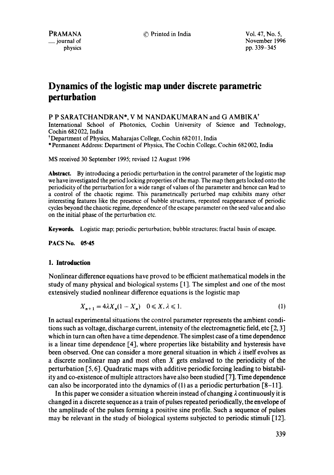# **Dynamics of the logistic map under discrete parametric perturbation**

P P SARATCHANDRAN\*, V M NANDAKUMARAN and G AMBIKA\*

International School of Photonics, Cochin University of Science and Technology, Cochin 682 022, India

\*Department of Physics, Maharajas College, Cochin 682 01 I, India

\* Permanent Address: Department of Physics, The Cochin College, Cochin 682 002, India

MS received 30 September 1995; revised 12 August 1996

**Abstract.** By introducing a periodic perturbation in the control parameter of the logistic map we have investigated the period locking properties of the map. The map then gets locked onto the periodicity of the perturbation for a wide range of values of the parameter and hence can lead to a control of the chaotic regime. This parametrically perturbed map exhibits many other interesting features like the presence of bubble structures, repeated reappearance of periodic cycles beyond the chaotic regime, dependence of the escape parameter on the seed value and also on the initial phase of the perturbation etc.

**Keywords.** Logistic map; periodic perturbation; bubble structures: fractal basin of escape.

**PACS No. 05.45** 

### **1. Introduction**

Nonlinear difference equations have proved to be efficient mathematical models in the study of many physical and biological systems [1]. The simplest and one of the most extensively studied nonlinear difference equations is the logistic map

$$
X_{n+1} = 4\lambda X_n (1 - X_n) \quad 0 \le X, \lambda \le 1. \tag{1}
$$

In actual experimental situations the control parameter represents the ambient conditions such as voltage, discharge current, intensity of the electromagnetic field, etc  $\lceil 2, 3 \rceil$ which in turn can often have a time dependence. The simplest case of a time dependence is a linear time dependence [4], where properties like bistability and hysteresis have been observed. One can consider a more general situation in which  $\lambda$  itself evolves as a discrete nonlinear map and most often  $X$  gets enslaved to the periodicity of the perturbation [5, 6]. Quadratic maps with additive periodic forcing leading to bistability and co-existence of multiple attractors have also been studied [7]. Time dependence can also be incorporated into the dynamics of  $(1)$  as a periodic perturbation  $\lceil 8-11 \rceil$ .

In this paper we consider a situation wherein instead of changing  $\lambda$  continuously it is changed in a discrete sequence as a train of pulses repeated periodically, the envelope of the amplitude of the pulses forming a positive sine profile. Such a sequence of pulses may be relevant in the study of biological systems subjected to periodic stimuli [12].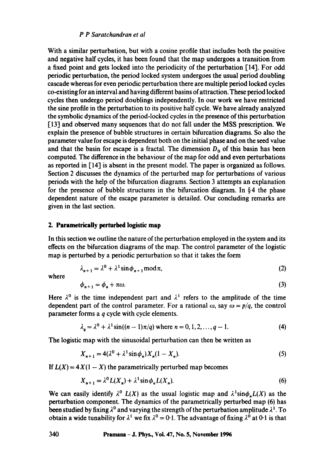# *P P Saratchandran et al*

With a similar perturbation, but with a cosine profile that includes both the positive and negative half cycles, it has been found that the map undergoes a transition from a fixed point and gets locked into the periodicity of the perturbation  $\lceil 14 \rceil$ . For odd periodic perturbation, the period locked system undergoes the usual period doubling cascade whereas for even periodic perturbation there are multiple period locked cycles co-existing for an interval and having different basins of attraction. These period locked cycles then undergo period doublings independently. In our work we have restricted the sine profile in the perturbation to its positive half cycle. We have already analyzed the symbolic dynamics of the period-locked cycles in the presence of this perturbation [13] and observed many sequences that do not fall under the MSS prescription. We explain the presence of bubble structures in certain bifurcation diagrams. So also the parameter value for escape is dependent both on the initial phase and on the seed value and that the basin for escape is a fractal. The dimension  $D_0$  of this basin has been computed. The difference in the behaviour of the map for odd and even perturbations as reported in  $\lceil 14 \rceil$  is absent in the present model. The paper is organized as follows. Section 2 discusses the dynamics of the perturbed map for perturbations of various periods with the help of the bifurcation diagrams. Section 3 attempts an explanation for the presence of bubble structures in the bifurcation diagram. In § 4 the phase dependent nature of the escape parameter is detailed. Our concluding remarks are given in the last section.

# **2. Parametrically perturbed logistic map**

In this section we outline the nature of the perturbation employed in the system and its effects on the bifurcation diagrams of the map. The control parameter of the logistic map is perturbed by a periodic perturbation so that it takes the form

$$
\lambda_{n+1} = \lambda^0 + \lambda^1 \sin \phi_{n+1} \mod \pi,\tag{2}
$$

where

$$
\phi_{n+1} = \phi_n + \pi \omega. \tag{3}
$$

Here  $\lambda^0$  is the time independent part and  $\lambda^1$  refers to the amplitude of the time dependent part of the control parameter. For a rational  $\omega$ , say  $\omega = p/q$ , the control parameter forms a q cycle with cycle elements.

$$
\lambda_q = \lambda^0 + \lambda^1 \sin((n-1)\pi/q) \text{ where } n = 0, 1, 2, \dots, q-1. \tag{4}
$$

The logistic map with the sinusoidal perturbation can then be written as

$$
X_{n+1} = 4(\lambda^0 + \lambda^1 \sin \phi_n) X_n (1 - X_n). \tag{5}
$$

If  $L(X) = 4X(1 - X)$  the parametrically perturbed map becomes

$$
X_{n+1} = \lambda^0 L(X_n) + \lambda^1 \sin \phi_n L(X_n).
$$
 (6)

We can easily identify  $\lambda^0$   $L(X)$  as the usual logistic map and  $\lambda^1 \text{sin} \phi_n L(X)$  as the perturbation component. The dynamics of the parametrically perturbed map (6) has been studied by fixing  $\lambda^0$  and varying the strength of the perturbation amplitude  $\lambda^1$ . To obtain a wide tunability for  $\lambda^1$  we fix  $\lambda^0 = 0.1$ . The advantage of fixing  $\lambda^0$  at 0.1 is that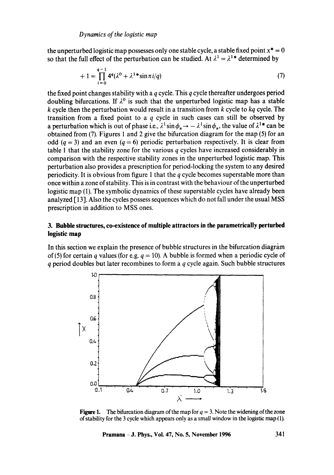the unperturbed logistic map possesses only one stable cycle, a stable fixed point  $x^* = 0$ so that the full effect of the perturbation can be studied. At  $\lambda^1 = \lambda^{1*}$  determined by

$$
+ 1 = \prod_{i=0}^{q-1} 4^q (\lambda^0 + \lambda^{1*} \sin \pi i / q)
$$
 (7)

the fixed point changes stability with a  $q$  cycle. This  $q$  cycle thereafter undergoes period doubling bifurcations. If  $\lambda^0$  is such that the unperturbed logistic map has a stable k cycle then the perturbation would result in a transition from k cycle to *kq* cycle. The transition from a fixed point to a  $q$  cycle in such cases can still be observed by a perturbation which is out of phase i.e.,  $\lambda^1 \sin \phi_n \to -\lambda^1 \sin \phi_n$ , the value of  $\lambda^{1*}$  can be obtained from (7). Figures 1 and 2 give the bifurcation diagram for the map (5) for an odd ( $q = 3$ ) and an even ( $q = 6$ ) periodic perturbation respectively. It is clear from table 1 that the stability zone for the various  $q$  cycles have increased considerably in comparison with the respective stability zones in the unperturbed logistic map. This perturbation also provides a prescription for period-locking the system to any desired periodicity. It is obvious from figure 1 that the  $q$  cycle becomes superstable more than once within a zone of stability. This is in contrast with the behaviour of the unperturbed logistic map (1). The symbolic dynamics of these superstable cycles have already been analyzed [13]. Also the cycles possess sequences which do not fall under the usual MSS prescription in addition to MSS ones.

# **3. Bubble structures, co-existence of multiple attractors in the parametrically perturbed logistic map**

In this section we explain the presence of bubble structures in the bifurcation diagram of (5) for certain q values (for e.g.  $q = 10$ ). A bubble is formed when a periodic cycle of  $q$  period doubles but later recombines to form a  $q$  cycle again. Such bubble structures



**Figure 1.** The bifurcation diagram of the map for  $q = 3$ . Note the widening of the zone of stability for the 3 cycle which appears only as a small window in the logistic map  $(1)$ .

**Pramana - J. Phys., Vol. 47, No. 5, November 1996 34l**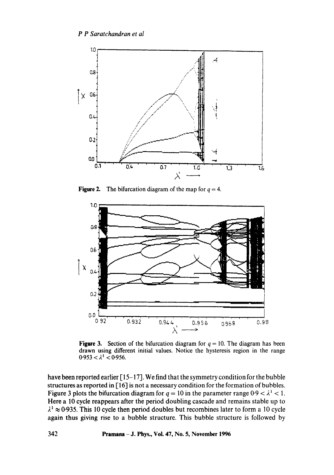

**Figure 2.** The bifurcation diagram of the map for  $q = 4$ .



**Figure 3.** Section of the bifurcation diagram for  $q = 10$ . The diagram has been drawn using different initial values. Notice the hysteresis region in the range  $0.953 < \lambda^1 < 0.956$ .

have been reported earlier [15-17]. We find that the symmetry condition for the bubble structures as reported in [16] is not a necessary condition for the formation of bubbles. Figure 3 plots the bifurcation diagram for  $q = 10$  in the parameter range  $0.9 < \lambda^1 < 1$ . Here a 10 cycle reappears after the period doubling cascade and remains stable up to  $\lambda^1$   $\approx$  0.935. This 10 cycle then period doubles but recombines later to form a 10 cycle again thus giving rise to a bubble structure. This bubble structure is followed by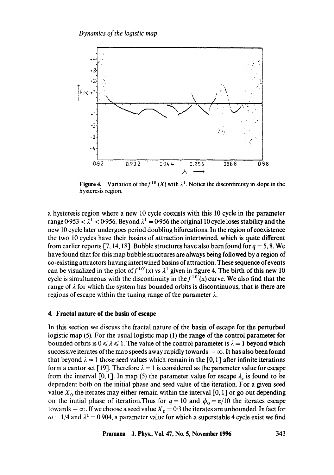

Figure 4. Variation of the  $f^{10'}(X)$  with  $\lambda^1$ . Notice the discontinuity in slope in the hysteresis region.

a hysteresis region where a new 10 cycle coexists with this 10 cycle in the parameter range  $0.953 < \lambda^1 < 0.956$ . Beyond  $\lambda^1 = 0.956$  the original 10 cycle loses stability and the new 10 cycle later undergoes period doubling bifurcations. In the region of coexistence the two 10 cycles have their basins of attraction intertwined, which is quite **different**  from earlier reports [7, 14, 18]. Bubble structures have also been found for  $q = 5, 8$ . We have found that for this map bubble structures are always being followed by a region of co-existing attractors having intertwined basins of attraction. These sequence of events can be visualized in the plot of  $f^{10'}(x)$  vs  $\lambda^1$  given in figure 4. The birth of this new 10 cycle is simultaneous with the discontinuity in the  $f^{10'}(x)$  curve. We also find that the range of  $\lambda$  for which the system has bounded orbits is discontinuous, that is there are regions of escape within the tuning range of the parameter  $\lambda$ .

#### **4. Fractal nature of the basin of escape**

In this section we discuss the fractal nature of the basin of escape for the perturbed logistic map (5). For the usual logistic map (1) the range of the control parameter for bounded orbits is  $0 \le \lambda \le 1$ . The value of the control parameter is  $\lambda = 1$  beyond which successive iterates of the map speeds away rapidly towards  $-\infty$ . It has also been found that beyond  $\lambda = 1$  those seed values which remain in the [0, 1] after infinite iterations form a cantor set [19]. Therefore  $\lambda = 1$  is considered as the parameter value for escape from the interval [0, 1]. In map (5) the parameter value for escape  $\lambda_e$  is found to be dependent both on the initial phase and seed value of the iteration. For a given seed value  $X_0$  the iterates may either remain within the interval [0, 1] or go out depending on the initial phase of iteration. Thus for  $q = 10$  and  $\phi_0 = \pi/10$  the iterates escape towards  $-\infty$ . If we choose a seed value  $X_0 = 0.3$  the iterates are unbounded. In fact for  $\omega = 1/4$  and  $\lambda^1 = 0.904$ , a parameter value for which a superstable 4 cycle exist we find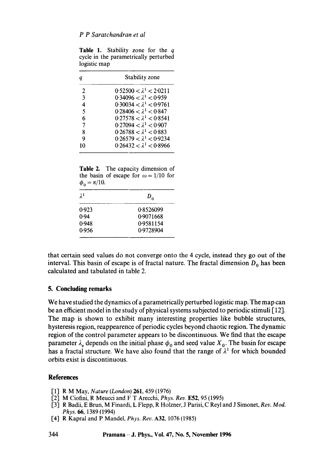| Table 1. Stability zone for the q                     |  |  |  |
|-------------------------------------------------------|--|--|--|
| cycle in the parametrically perturbed<br>logistic map |  |  |  |

| q  | Stability zone                              |  |  |
|----|---------------------------------------------|--|--|
| 2  | $0.52500 < \lambda^{1} < 2.0211$            |  |  |
| 3  | $0.34096 < \lambda^1 < 0.959$               |  |  |
| 4  | 0.30034 $< \lambda$ <sup>1</sup> $<$ 0.9761 |  |  |
| 5  | $0.28406 < \lambda^1 < 0.847$               |  |  |
| 6  | $0.27578 < \lambda^1 < 0.8541$              |  |  |
| 7  | 0.27094 $< \lambda$ <sup>1</sup> $<$ 0.907  |  |  |
| 8  | $0.26788 < \lambda^1 < 0.883$               |  |  |
| 9  | $0.26579 < \lambda^1 < 0.9234$              |  |  |
| 10 | $0.26432 < \lambda^1 < 0.8966$              |  |  |

**Table** 2. The capacity dimension of the basin of escape for  $\omega = 1/10$  for  $\phi_{0} = \pi/10.$ 

| $\lambda^1$ | $D_{\alpha}$ |  |
|-------------|--------------|--|
| 0.923       | 0.8526099    |  |
| 0.94        | 0.9071668    |  |
| 0.948       | 0.9581154    |  |
| 0.956       | 0.9728904    |  |

that certain seed values do not converge onto the 4 cycle, instead they go out of the interval. This basin of escape is of fractal nature. The fractal dimension  $D_0$  has been calculated and tabulated in table 2.

## **5. Concluding remarks**

We have studied the dynamics of a parametrically perturbed logistic map. The map can be an efficient model in the study of physical systems subjected to periodic stimuli [ 121. The map is shown to exhibit many interesting properties like bubble structures, hysteresis region, reappearence of periodic cycles beyond chaotic region. The dynamic region of the control parameter appears to be discontinuous. We find that the escape parameter  $\lambda_e$  depends on the initial phase  $\phi_0$  and seed value  $X_0$ . The basin for escape has a fractal structure. We have also found that the range of  $\lambda^1$  for which bounded orbits exist is discontinuous.

# **References**

- [1] R M May, *Nature (London)* 261, 459 (1976)
- [2] M Ciofini, R Meucci and F T Arecchi, *Phys. Rev.* E52, 95 (1995)
- [3] R Badii, E Brun, M Finardi, L Flepp, R Holzner, J Parisi, C Reyl and J Simonet, *Rev. Mod. Phys. 66,* 1389 (1994)
- [4] R Kapral and P Mandel, *Phys. Rev.* A32, 1076 (1985)